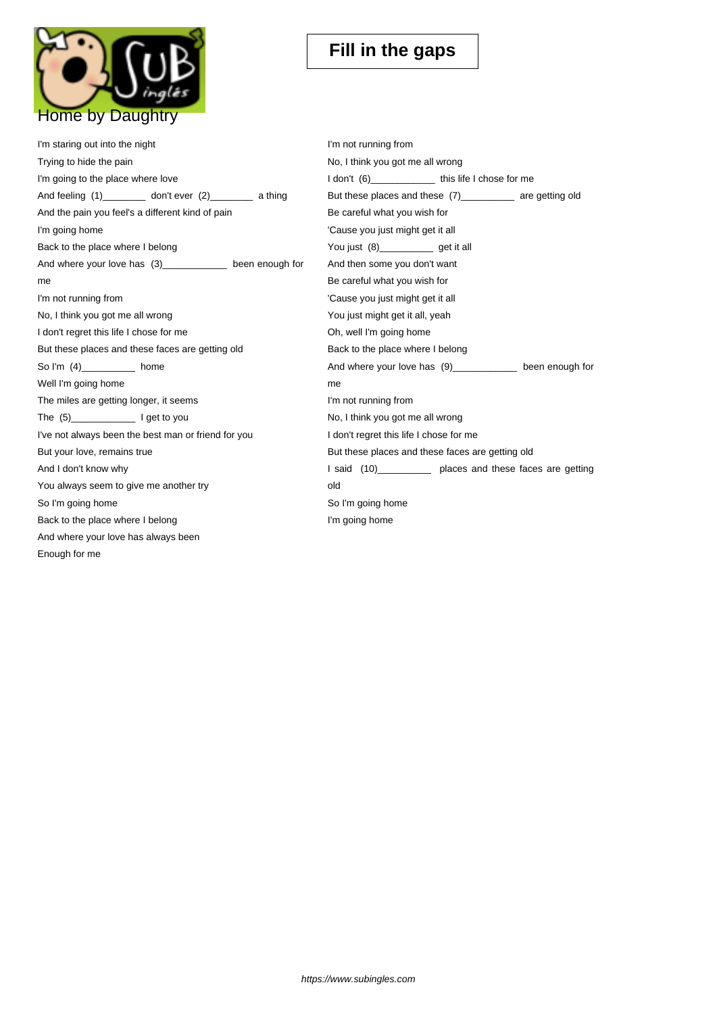

| I'm staring out into the night                              | I'm not running from                                       |
|-------------------------------------------------------------|------------------------------------------------------------|
| Trying to hide the pain                                     | No, I think you got me all wrong                           |
| I'm going to the place where love                           | I don't (6) _______________ this life I chose for me       |
| And feeling (1)___________ don't ever (2)__________ a thing | But these places and these (7)____________ are getting old |
| And the pain you feel's a different kind of pain            | Be careful what you wish for                               |
| I'm going home                                              | 'Cause you just might get it all                           |
| Back to the place where I belong                            | You just (8)______________ get it all                      |
| And where your love has (3)_____________ been enough for    | And then some you don't want                               |
| me                                                          | Be careful what you wish for                               |
| I'm not running from                                        | 'Cause you just might get it all                           |
| No, I think you got me all wrong                            | You just might get it all, yeah                            |
| I don't regret this life I chose for me                     | Oh, well I'm going home                                    |
| But these places and these faces are getting old            | Back to the place where I belong                           |
| So I'm (4)_________ home                                    | And where your love has (9)___________ been enough for     |
| Well I'm going home                                         | me                                                         |
| The miles are getting longer, it seems                      | I'm not running from                                       |
|                                                             | No, I think you got me all wrong                           |
| I've not always been the best man or friend for you         | I don't regret this life I chose for me                    |
| But your love, remains true                                 | But these places and these faces are getting old           |
| And I don't know why                                        | I said (10)____________ places and these faces are getting |
| You always seem to give me another try                      | old                                                        |
| So I'm going home                                           | So I'm going home                                          |
| Back to the place where I belong                            | I'm going home                                             |
| And where your love has always been                         |                                                            |
| Enough for me                                               |                                                            |